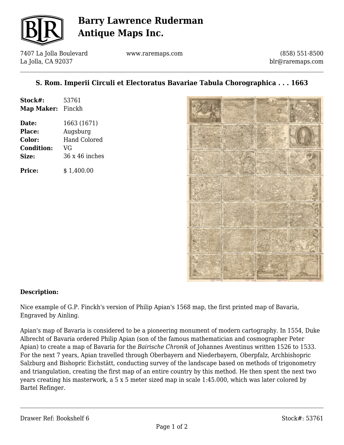

## **Barry Lawrence Ruderman Antique Maps Inc.**

7407 La Jolla Boulevard La Jolla, CA 92037

www.raremaps.com

(858) 551-8500 blr@raremaps.com

## **S. Rom. Imperii Circuli et Electoratus Bavariae Tabula Chorographica . . . 1663**

| Stock#:           | 53761 |
|-------------------|-------|
| Map Maker: Finckh |       |
|                   |       |

**Date:** 1663 (1671) **Place:** Augsburg **Color:** Hand Colored **Condition:** VG **Size:** 36 x 46 inches

**Price:**  $$ 1.400.00$ 



### **Description:**

Nice example of G.P. Finckh's version of Philip Apian's 1568 map, the first printed map of Bavaria, Engraved by Ainling.

Apian's map of Bavaria is considered to be a pioneering monument of modern cartography. In 1554, Duke Albrecht of Bavaria ordered Philip Apian (son of the famous mathematician and cosmographer Peter Apian) to create a map of Bavaria for the *Bairische Chronik* of Johannes Aventinus written 1526 to 1533. For the next 7 years, Apian travelled through Oberbayern and Niederbayern, Oberpfalz, Archbishopric Salzburg and Bishopric Eichstätt, conducting survey of the landscape based on methods of trigonometry and triangulation, creating the first map of an entire country by this method. He then spent the next two years creating his masterwork, a 5 x 5 meter sized map in scale 1:45.000, which was later colored by Bartel Refinger.